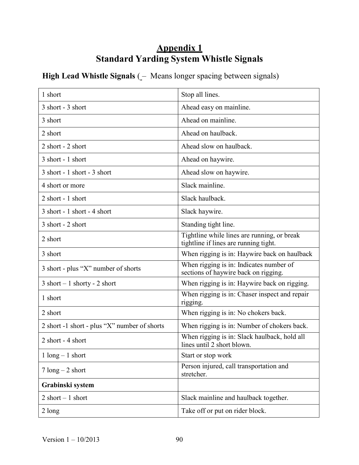## Appendix 1 Standard Yarding System Whistle Signals

## High Lead Whistle Signals (- Means longer spacing between signals)

| 1 short                                      | Stop all lines.                                                                      |
|----------------------------------------------|--------------------------------------------------------------------------------------|
| 3 short - 3 short                            | Ahead easy on mainline.                                                              |
| 3 short                                      | Ahead on mainline.                                                                   |
| 2 short                                      | Ahead on haulback.                                                                   |
| 2 short - 2 short                            | Ahead slow on haulback.                                                              |
| 3 short - 1 short                            | Ahead on haywire.                                                                    |
| 3 short - 1 short - 3 short                  | Ahead slow on haywire.                                                               |
| 4 short or more                              | Slack mainline.                                                                      |
| 2 short - 1 short                            | Slack haulback.                                                                      |
| 3 short - 1 short - 4 short                  | Slack haywire.                                                                       |
| 3 short - 2 short                            | Standing tight line.                                                                 |
| 2 short                                      | Tightline while lines are running, or break<br>tightline if lines are running tight. |
| 3 short                                      | When rigging is in: Haywire back on haulback                                         |
| 3 short - plus "X" number of shorts          | When rigging is in: Indicates number of<br>sections of haywire back on rigging.      |
| $3 short - 1 short$ - 2 short                | When rigging is in: Haywire back on rigging.                                         |
| 1 short                                      | When rigging is in: Chaser inspect and repair<br>rigging.                            |
| 2 short                                      | When rigging is in: No chokers back.                                                 |
| 2 short -1 short - plus "X" number of shorts | When rigging is in: Number of chokers back.                                          |
| 2 short - 4 short                            | When rigging is in: Slack haulback, hold all<br>lines until 2 short blown.           |
| $1 \text{ long} - 1 \text{ short}$           | Start or stop work                                                                   |
| $7 \text{ long} - 2 \text{ short}$           | Person injured, call transportation and<br>stretcher.                                |
| Grabinski system                             |                                                                                      |
| $2 short - 1 short$                          | Slack mainline and haulback together.                                                |
| 2 long                                       | Take off or put on rider block.                                                      |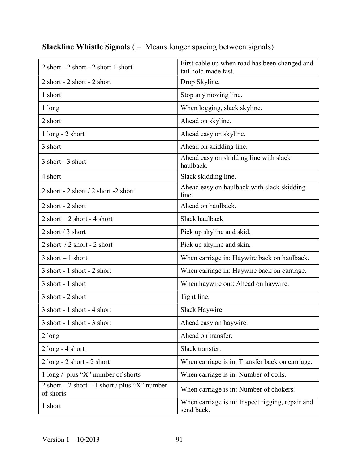| 2 short - 2 short - 2 short 1 short                          | First cable up when road has been changed and<br>tail hold made fast. |
|--------------------------------------------------------------|-----------------------------------------------------------------------|
| 2 short - 2 short - 2 short                                  | Drop Skyline.                                                         |
| 1 short                                                      | Stop any moving line.                                                 |
| 1 long                                                       | When logging, slack skyline.                                          |
| 2 short                                                      | Ahead on skyline.                                                     |
| $1$ long - $2$ short                                         | Ahead easy on skyline.                                                |
| 3 short                                                      | Ahead on skidding line.                                               |
| 3 short - 3 short                                            | Ahead easy on skidding line with slack<br>haulback.                   |
| 4 short                                                      | Slack skidding line.                                                  |
| 2 short - $2$ short / $2$ short - $2$ short                  | Ahead easy on haulback with slack skidding<br>line.                   |
| 2 short - 2 short                                            | Ahead on haulback.                                                    |
| $2$ short $-2$ short $-4$ short                              | Slack haulback                                                        |
| 2 short / 3 short                                            | Pick up skyline and skid.                                             |
| 2 short $/2$ short - 2 short                                 | Pick up skyline and skin.                                             |
| $3$ short $-1$ short                                         | When carriage in: Haywire back on haulback.                           |
| $3$ short - 1 short - 2 short                                | When carriage in: Haywire back on carriage.                           |
| 3 short - 1 short                                            | When haywire out: Ahead on haywire.                                   |
| 3 short - 2 short                                            | Tight line.                                                           |
| 3 short - 1 short - 4 short                                  | Slack Haywire                                                         |
| 3 short - 1 short - 3 short                                  | Ahead easy on haywire.                                                |
| $2 \text{ long}$                                             | Ahead on transfer.                                                    |
| $2$ long - 4 short                                           | Slack transfer.                                                       |
| $2 \text{ long}$ - $2 \text{ short}$ - $2 \text{ short}$     | When carriage is in: Transfer back on carriage.                       |
| $1 \text{ long} / \text{ plus "X" number of shorts$          | When carriage is in: Number of coils.                                 |
| 2 short $-2$ short $-1$ short / plus "X" number<br>of shorts | When carriage is in: Number of chokers.                               |
| 1 short                                                      | When carriage is in: Inspect rigging, repair and<br>send back.        |

## Slackline Whistle Signals ( – Means longer spacing between signals)